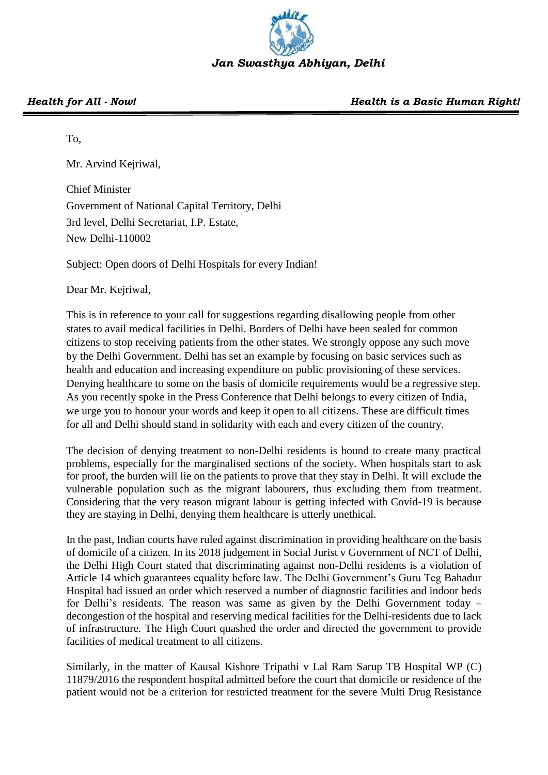

## To,

Mr. Arvind Kejriwal,

Chief Minister Government of National Capital Territory, Delhi 3rd level, Delhi Secretariat, I.P. Estate, New Delhi-110002

Subject: Open doors of Delhi Hospitals for every Indian!

Dear Mr. Kejriwal,

This is in reference to your call for suggestions regarding disallowing people from other states to avail medical facilities in Delhi. Borders of Delhi have been sealed for common citizens to stop receiving patients from the other states. We strongly oppose any such move by the Delhi Government. Delhi has set an example by focusing on basic services such as health and education and increasing expenditure on public provisioning of these services. Denying healthcare to some on the basis of domicile requirements would be a regressive step. As you recently spoke in the Press Conference that Delhi belongs to every citizen of India, we urge you to honour your words and keep it open to all citizens. These are difficult times for all and Delhi should stand in solidarity with each and every citizen of the country.

The decision of denying treatment to non-Delhi residents is bound to create many practical problems, especially for the marginalised sections of the society. When hospitals start to ask for proof, the burden will lie on the patients to prove that they stay in Delhi. It will exclude the vulnerable population such as the migrant labourers, thus excluding them from treatment. Considering that the very reason migrant labour is getting infected with Covid-19 is because they are staying in Delhi, denying them healthcare is utterly unethical.

In the past, Indian courts have ruled against discrimination in providing healthcare on the basis of domicile of a citizen. In its 2018 judgement in Social Jurist v Government of NCT of Delhi, the Delhi High Court stated that discriminating against non-Delhi residents is a violation of Article 14 which guarantees equality before law. The Delhi Government's Guru Teg Bahadur Hospital had issued an order which reserved a number of diagnostic facilities and indoor beds for Delhi's residents. The reason was same as given by the Delhi Government today – decongestion of the hospital and reserving medical facilities for the Delhi-residents due to lack of infrastructure. The High Court quashed the order and directed the government to provide facilities of medical treatment to all citizens.

Similarly, in the matter of Kausal Kishore Tripathi v Lal Ram Sarup TB Hospital WP (C) 11879/2016 the respondent hospital admitted before the court that domicile or residence of the patient would not be a criterion for restricted treatment for the severe Multi Drug Resistance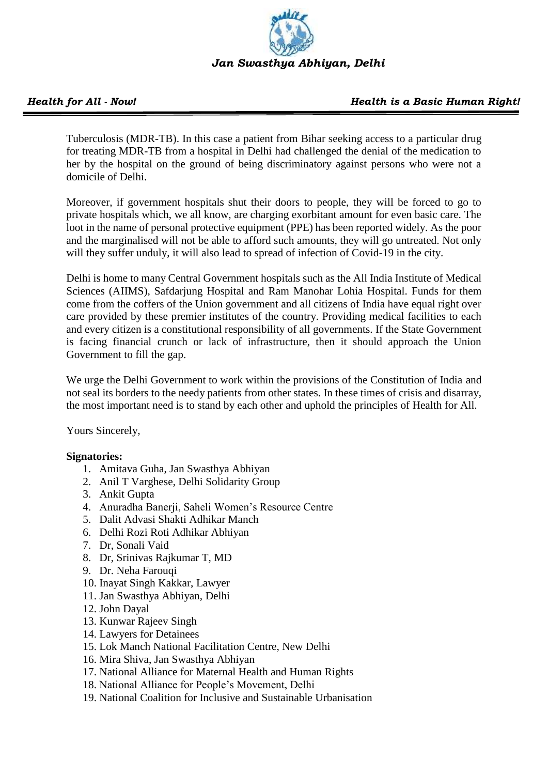

## *Health for All - Now! Health is a Basic Human Right!*

Tuberculosis (MDR-TB). In this case a patient from Bihar seeking access to a particular drug for treating MDR-TB from a hospital in Delhi had challenged the denial of the medication to her by the hospital on the ground of being discriminatory against persons who were not a domicile of Delhi.

Moreover, if government hospitals shut their doors to people, they will be forced to go to private hospitals which, we all know, are charging exorbitant amount for even basic care. The loot in the name of personal protective equipment (PPE) has been reported widely. As the poor and the marginalised will not be able to afford such amounts, they will go untreated. Not only will they suffer unduly, it will also lead to spread of infection of Covid-19 in the city.

Delhi is home to many Central Government hospitals such as the All India Institute of Medical Sciences (AIIMS), Safdarjung Hospital and Ram Manohar Lohia Hospital. Funds for them come from the coffers of the Union government and all citizens of India have equal right over care provided by these premier institutes of the country. Providing medical facilities to each and every citizen is a constitutional responsibility of all governments. If the State Government is facing financial crunch or lack of infrastructure, then it should approach the Union Government to fill the gap.

We urge the Delhi Government to work within the provisions of the Constitution of India and not seal its borders to the needy patients from other states. In these times of crisis and disarray, the most important need is to stand by each other and uphold the principles of Health for All.

Yours Sincerely,

## **Signatories:**

- 1. Amitava Guha, Jan Swasthya Abhiyan
- 2. Anil T Varghese, Delhi Solidarity Group
- 3. Ankit Gupta
- 4. Anuradha Banerji, Saheli Women's Resource Centre
- 5. Dalit Advasi Shakti Adhikar Manch
- 6. Delhi Rozi Roti Adhikar Abhiyan
- 7. Dr, Sonali Vaid
- 8. Dr, Srinivas Rajkumar T, MD
- 9. Dr. Neha Farouqi
- 10. Inayat Singh Kakkar, Lawyer
- 11. Jan Swasthya Abhiyan, Delhi
- 12. John Dayal
- 13. Kunwar Rajeev Singh
- 14. Lawyers for Detainees
- 15. Lok Manch National Facilitation Centre, New Delhi
- 16. Mira Shiva, Jan Swasthya Abhiyan
- 17. National Alliance for Maternal Health and Human Rights
- 18. National Alliance for People's Movement, Delhi
- 19. National Coalition for Inclusive and Sustainable Urbanisation